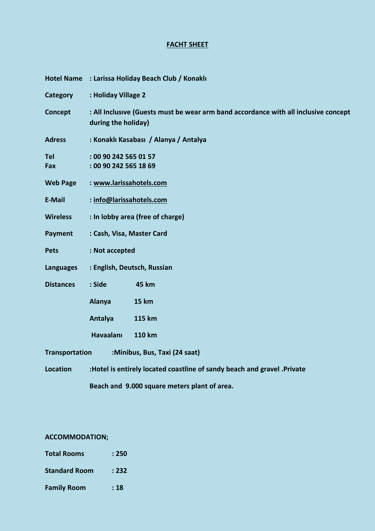# **FACHT SHEET**

|                                              | Hotel Name : Larissa Holiday Beach Club / Konaklı                                                          |                               |  |  |  |
|----------------------------------------------|------------------------------------------------------------------------------------------------------------|-------------------------------|--|--|--|
| <b>Category</b>                              | : Holiday Village 2                                                                                        |                               |  |  |  |
| Concept                                      | : All Inclusive (Guests must be wear arm band accordance with all inclusive concept<br>during the holiday) |                               |  |  |  |
| <b>Adress</b>                                | : Konaklı Kasabası / Alanya / Antalya                                                                      |                               |  |  |  |
| <b>Tel</b><br><b>Fax</b>                     | : 00 90 242 565 01 57<br>: 00 90 242 565 18 69                                                             |                               |  |  |  |
| <b>Web Page</b>                              | : www.larissahotels.com                                                                                    |                               |  |  |  |
| E-Mail                                       | : info@larissahotels.com                                                                                   |                               |  |  |  |
| <b>Wireless</b>                              | : In lobby area (free of charge)                                                                           |                               |  |  |  |
| <b>Payment</b>                               | : Cash, Visa, Master Card                                                                                  |                               |  |  |  |
| <b>Pets</b>                                  | : Not accepted                                                                                             |                               |  |  |  |
| Languages                                    | : English, Deutsch, Russian                                                                                |                               |  |  |  |
| <b>Distances</b>                             | : Side                                                                                                     | <b>45 km</b>                  |  |  |  |
|                                              | Alanya                                                                                                     | <b>15 km</b>                  |  |  |  |
|                                              | Antalya                                                                                                    | 115 km                        |  |  |  |
|                                              | <b>Havaalanı</b>                                                                                           | 110 km                        |  |  |  |
| <b>Transportation</b>                        |                                                                                                            | :Minibus, Bus, Taxi (24 saat) |  |  |  |
| <b>Location</b>                              | :Hotel is entirely located coastline of sandy beach and gravel .Private                                    |                               |  |  |  |
| Beach and 9.000 square meters plant of area. |                                                                                                            |                               |  |  |  |

# **ACCOMMODATION;**

| <b>Total Rooms</b>   | : 250 |
|----------------------|-------|
| <b>Standard Room</b> | : 232 |
| <b>Family Room</b>   | : 18  |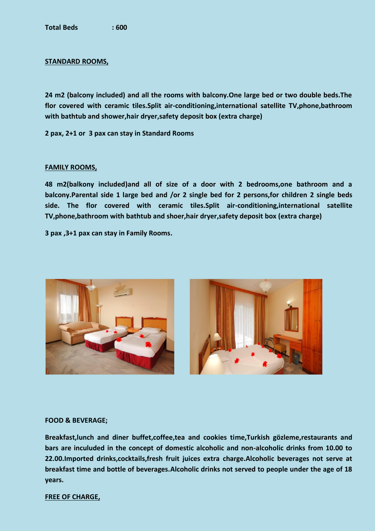## **STANDARD ROOMS,**

**24 m2 (balcony included) and all the rooms with balcony.One large bed or two double beds.The flor covered with ceramic tiles.Split air-conditioning,international satellite TV,phone,bathroom with bathtub and shower,hair dryer,safety deposit box (extra charge)**

**2 pax, 2+1 or 3 pax can stay in Standard Rooms**

#### **FAMILY ROOMS,**

**48 m2(balkony included)and all of size of a door with 2 bedrooms,one bathroom and a balcony.Parental side 1 large bed and /or 2 single bed for 2 persons,for children 2 single beds side. The flor covered with ceramic tiles.Split air-conditioning,international satellite TV,phone,bathroom with bathtub and shoer,hair dryer,safety deposit box (extra charge)**

**3 pax ,3+1 pax can stay in Family Rooms.**



#### **FOOD & BEVERAGE;**

**Breakfast,lunch and diner buffet,coffee,tea and cookies time,Turkish gözleme,restaurants and bars are inculuded in the concept of domestic alcoholic and non-alcoholic drinks from 10.00 to 22.00.Imported drinks,cocktails,fresh fruit juices extra charge.Alcoholic beverages not serve at breakfast time and bottle of beverages.Alcoholic drinks not served to people under the age of 18 years.**

#### **FREE OF CHARGE,**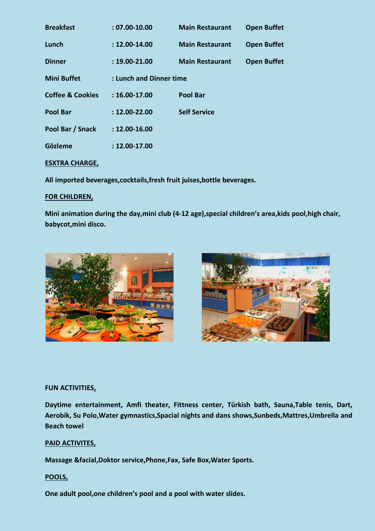| <b>Breakfast</b>            | $: 07.00 - 10.00$       | <b>Main Restaurant</b> | <b>Open Buffet</b> |  |
|-----------------------------|-------------------------|------------------------|--------------------|--|
| Lunch                       | $: 12.00 - 14.00$       | <b>Main Restaurant</b> | <b>Open Buffet</b> |  |
| <b>Dinner</b>               | $: 19.00 - 21.00$       | <b>Main Restaurant</b> | <b>Open Buffet</b> |  |
| <b>Mini Buffet</b>          | : Lunch and Dinner time |                        |                    |  |
| <b>Coffee &amp; Cookies</b> | $: 16.00 - 17.00$       | <b>Pool Bar</b>        |                    |  |
| <b>Pool Bar</b>             | $: 12.00 - 22.00$       | <b>Self Service</b>    |                    |  |
| Pool Bar / Snack            | $: 12.00 - 16.00$       |                        |                    |  |
| <b>Gözleme</b>              | $: 12.00 - 17.00$       |                        |                    |  |
|                             |                         |                        |                    |  |

# **ESXTRA CHARGE,**

**All imported beverages,cocktails,fresh fruit juises,bottle beverages.**

# **FOR CHILDREN,**

**Mini animation during the day,mini club (4-12 age),special children's area,kids pool,high chair, babycot,mini disco.**





## **FUN ACTIVITIES,**

**Daytime entertainment, Amfi theater, Fittness center, Türkish bath, Sauna,Table tenis, Dart, Aerobik, Su Polo,Water gymnastics,Spacial nights and dans shows,Sunbeds,Mattres,Umbrella and Beach towel**

## **PAID ACTIVITES,**

**Massage &facial,Doktor service,Phone,Fax, Safe Box,Water Sports.**

## **POOLS,**

**One adult pool,one children's pool and a pool with water slides.**